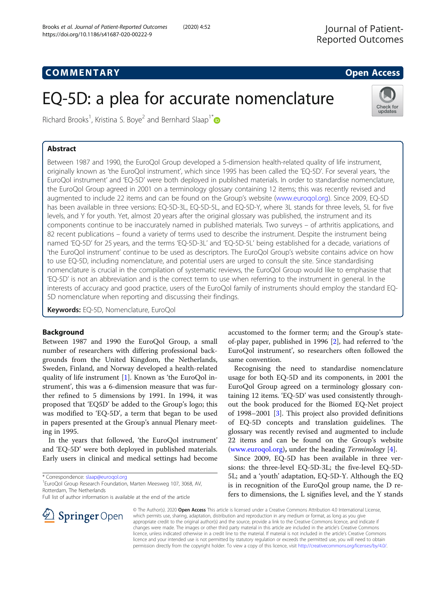# COMM EN TARY Open Access

Check for updates

# EQ-5D: a plea for accurate nomenclature



# Abstract

Between 1987 and 1990, the EuroQol Group developed a 5-dimension health-related quality of life instrument, originally known as 'the EuroQol instrument', which since 1995 has been called the 'EQ-5D'. For several years, 'the EuroQol instrument' and 'EQ-5D' were both deployed in published materials. In order to standardise nomenclature, the EuroQol Group agreed in 2001 on a terminology glossary containing 12 items; this was recently revised and augmented to include 22 items and can be found on the Group's website ([www.euroqol.org\)](http://www.euroqol.org). Since 2009, EQ-5D has been available in three versions: EQ-5D-3L, EQ-5D-5L, and EQ-5D-Y, where 3L stands for three levels, 5L for five levels, and Y for youth. Yet, almost 20 years after the original glossary was published, the instrument and its components continue to be inaccurately named in published materials. Two surveys – of arthritis applications, and 82 recent publications – found a variety of terms used to describe the instrument. Despite the instrument being named 'EQ-5D' for 25 years, and the terms 'EQ-5D-3L' and 'EQ-5D-5L' being established for a decade, variations of 'the EuroQol instrument' continue to be used as descriptors. The EuroQol Group's website contains advice on how to use EQ-5D, including nomenclature, and potential users are urged to consult the site. Since standardising nomenclature is crucial in the compilation of systematic reviews, the EuroQol Group would like to emphasise that 'EQ-5D' is not an abbreviation and is the correct term to use when referring to the instrument in general. In the interests of accuracy and good practice, users of the EuroQol family of instruments should employ the standard EQ-5D nomenclature when reporting and discussing their findings.

Keywords: EQ-5D, Nomenclature, EuroQol

# Background

Between 1987 and 1990 the EuroQol Group, a small number of researchers with differing professional backgrounds from the United Kingdom, the Netherlands, Sweden, Finland, and Norway developed a health-related quality of life instrument [[1](#page-2-0)]. Known as 'the EuroQol instrument', this was a 6-dimension measure that was further refined to 5 dimensions by 1991. In 1994, it was proposed that 'EQ5D' be added to the Group's logo; this was modified to 'EQ-5D', a term that began to be used in papers presented at the Group's annual Plenary meeting in 1995.

In the years that followed, 'the EuroQol instrument' and 'EQ-5D' were both deployed in published materials. Early users in clinical and medical settings had become

\* Correspondence: [slaap@euroqol.org](mailto:slaap@euroqol.org) <sup>1</sup>

**Springer** Open

<sup>1</sup> EuroQol Group Research Foundation, Marten Meesweg 107, 3068, AV, Rotterdam, The Netherlands

Full list of author information is available at the end of the article



accustomed to the former term; and the Group's state-

EuroQol Group agreed on a terminology glossary containing 12 items. 'EQ-5D' was used consistently throughout the book produced for the Biomed EQ-Net project of 1998–2001 [\[3](#page-2-0)]. This project also provided definitions of EQ-5D concepts and translation guidelines. The glossary was recently revised and augmented to include 22 items and can be found on the Group's website ([www.euroqol.org\)](http://www.euroqol.org), under the heading Terminology [\[4](#page-2-0)].

Since 2009, EQ-5D has been available in three versions: the three-level EQ-5D-3L; the five-level EQ-5D-5L; and a 'youth' adaptation, EQ-5D-Y. Although the EQ is in recognition of the EuroQol group name, the D refers to dimensions, the L signifies level, and the Y stands

© The Author(s). 2020 Open Access This article is licensed under a Creative Commons Attribution 4.0 International License, which permits use, sharing, adaptation, distribution and reproduction in any medium or format, as long as you give appropriate credit to the original author(s) and the source, provide a link to the Creative Commons licence, and indicate if changes were made. The images or other third party material in this article are included in the article's Creative Commons licence, unless indicated otherwise in a credit line to the material. If material is not included in the article's Creative Commons licence and your intended use is not permitted by statutory regulation or exceeds the permitted use, you will need to obtain permission directly from the copyright holder. To view a copy of this licence, visit <http://creativecommons.org/licenses/by/4.0/>.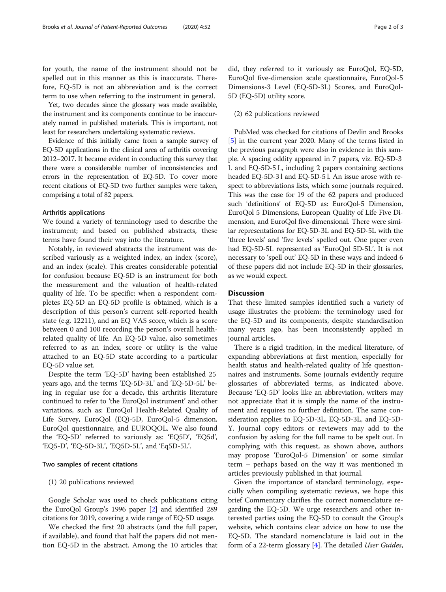for youth, the name of the instrument should not be spelled out in this manner as this is inaccurate. Therefore, EQ-5D is not an abbreviation and is the correct term to use when referring to the instrument in general.

Yet, two decades since the glossary was made available, the instrument and its components continue to be inaccurately named in published materials. This is important, not least for researchers undertaking systematic reviews.

Evidence of this initially came from a sample survey of EQ-5D applications in the clinical area of arthritis covering 2012–2017. It became evident in conducting this survey that there were a considerable number of inconsistencies and errors in the representation of EQ-5D. To cover more recent citations of EQ-5D two further samples were taken, comprising a total of 82 papers.

#### Arthritis applications

We found a variety of terminology used to describe the instrument; and based on published abstracts, these terms have found their way into the literature.

Notably, in reviewed abstracts the instrument was described variously as a weighted index, an index (score), and an index (scale). This creates considerable potential for confusion because EQ-5D is an instrument for both the measurement and the valuation of health-related quality of life. To be specific: when a respondent completes EQ-5D an EQ-5D profile is obtained, which is a description of this person's current self-reported health state (e.g. 12211), and an EQ VAS score, which is a score between 0 and 100 recording the person's overall healthrelated quality of life. An EQ-5D value, also sometimes referred to as an index, score or utility is the value attached to an EQ-5D state according to a particular EQ-5D value set.

Despite the term 'EQ-5D' having been established 25 years ago, and the terms 'EQ-5D-3L' and 'EQ-5D-5L' being in regular use for a decade, this arthritis literature continued to refer to 'the EuroQol instrument' and other variations, such as: EuroQol Health-Related Quality of Life Survey, EuroQol (EQ)-5D, EuroQol-5 dimension, EuroQol questionnaire, and EUROQOL. We also found the 'EQ-5D' referred to variously as: 'EQ5D', 'EQ5d', 'EQ5-D', 'EQ-5D-3L', 'EQ5D-5L', and 'Eq5D-5L'.

#### Two samples of recent citations

#### (1) 20 publications reviewed

Google Scholar was used to check publications citing the EuroQol Group's 1996 paper [[2](#page-2-0)] and identified 289 citations for 2019, covering a wide range of EQ-5D usage.

We checked the first 20 abstracts (and the full paper, if available), and found that half the papers did not mention EQ-5D in the abstract. Among the 10 articles that did, they referred to it variously as: EuroQol, EQ-5D, EuroQol five-dimension scale questionnaire, EuroQol-5 Dimensions-3 Level (EQ-5D-3L) Scores, and EuroQol-5D (EQ-5D) utility score.

#### (2) 62 publications reviewed

PubMed was checked for citations of Devlin and Brooks [[5\]](#page-2-0) in the current year 2020. Many of the terms listed in the previous paragraph were also in evidence in this sample. A spacing oddity appeared in 7 papers, viz. EQ-5D-3 L and EQ-5D-5 L, including 2 papers containing sections headed EQ-5D-3 l and EQ-5D-5 l. An issue arose with respect to abbreviations lists, which some journals required. This was the case for 19 of the 62 papers and produced such 'definitions' of EQ-5D as: EuroQol-5 Dimension, EuroQol 5 Dimensions, European Quality of Life Five Dimension, and EuroQol five-dimensional. There were similar representations for EQ-5D-3L and EQ-5D-5L with the 'three levels' and 'five levels' spelled out. One paper even had EQ-5D-5L represented as 'EuroQol 5D-5L'. It is not necessary to 'spell out' EQ-5D in these ways and indeed 6 of these papers did not include EQ-5D in their glossaries, as we would expect.

### **Discussion**

That these limited samples identified such a variety of usage illustrates the problem: the terminology used for the EQ-5D and its components, despite standardisation many years ago, has been inconsistently applied in journal articles.

There is a rigid tradition, in the medical literature, of expanding abbreviations at first mention, especially for health status and health-related quality of life questionnaires and instruments. Some journals evidently require glossaries of abbreviated terms, as indicated above. Because 'EQ-5D' looks like an abbreviation, writers may not appreciate that it is simply the name of the instrument and requires no further definition. The same consideration applies to EQ-5D-3L, EQ-5D-3L, and EQ-5D-Y. Journal copy editors or reviewers may add to the confusion by asking for the full name to be spelt out. In complying with this request, as shown above, authors may propose 'EuroQol-5 Dimension' or some similar term – perhaps based on the way it was mentioned in articles previously published in that journal.

Given the importance of standard terminology, especially when compiling systematic reviews, we hope this brief Commentary clarifies the correct nomenclature regarding the EQ-5D. We urge researchers and other interested parties using the EQ-5D to consult the Group's website, which contains clear advice on how to use the EQ-5D. The standard nomenclature is laid out in the form of a 22-term glossary [[4\]](#page-2-0). The detailed User Guides,